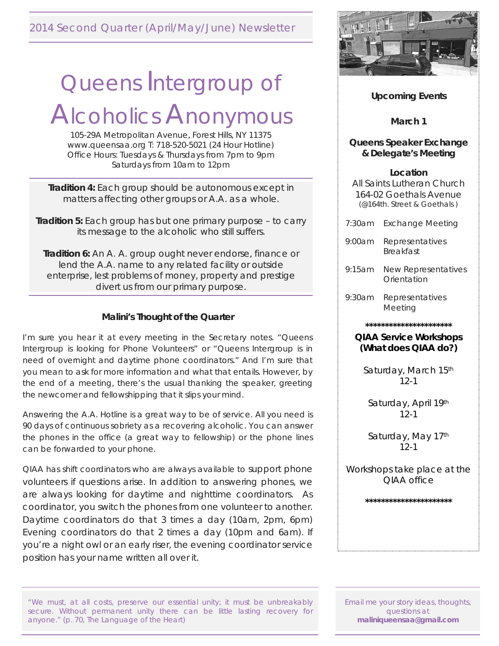### 2014 Second Quarter (April/May/June) Newsletter

# Queens Intergroup of

## Alcoholics Anonymous

105-29A Metropolitan Avenue, Forest Hills, NY 11375 www.queensaa.org T: 718-520-5021 (24 Hour Hotline) Office Hours: Tuesdays & Thursdays from 7pm to 9pm Saturdays from 10am to 12pm

**Tradition 4:** Each group should be autonomous except in matters affecting other groups or A.A. as a whole.

**Tradition 5:** Each group has but one primary purpose – to carry its message to the alcoholic who still suffers.

**Tradition 6:** An A. A. group ought never endorse, finance or lend the A.A. name to any related facility or outside enterprise, lest problems of money, property and prestige divert us from our primary purpose.

#### **Malini's Thought of the Quarter**

I'm sure you hear it at every meeting in the Secretary notes. "Queens Intergroup is looking for Phone Volunteers" or "Queens Intergroup is in need of overnight and daytime phone coordinators." And I'm sure that you mean to ask for more information and what that entails. However, by the end of a meeting, there's the usual thanking the speaker, greeting the newcomer and fellowshipping that it slips your mind.

Answering the A.A. Hotline is a great way to be of service. All you need is 90 days of continuous sobriety as a recovering alcoholic. You can answer the phones in the office (a great way to fellowship) or the phone lines can be forwarded to your phone.

QIAA has shift coordinators who are always available to support phone volunteers if questions arise. In addition to answering phones, we are always looking for daytime and nighttime coordinators. As coordinator, you switch the phones from one volunteer to another. Daytime coordinators do that 3 times a day (10am, 2pm, 6pm) Evening coordinators do that 2 times a day (10pm and 6am). If you're a night owl or an early riser, the evening coordinator service position has your name written all over it.

"We must, at all costs, preserve our essential unity; it must be unbreakably secure. Without permanent unity there can be little lasting recovery for anyone." (p. 70, The Language of the Heart)



#### **Upcoming Events**

**March 1**

#### **Queens Speaker Exchange & Delegate's Meeting**

**Location**

All Saints Lutheran Church 164-02 Goethals Avenue (@164th. Street & Goethals )

- 7:30am Exchange Meeting
- 9:00am Representatives Breakfast
- 9:15am New Representatives **Orientation**
- 9:30am Representatives Meeting

**\*\*\*\*\*\*\*\*\*\*\*\*\*\*\*\*\*\*\*\*\*\***

#### **QIAA Service Workshops (***What does QIAA do?)*

Saturday, March 15th  $12-1$ 

Saturday, April 19th 12-1

Saturday, May 17th  $12-1$ 

*Workshops take place at the QIAA office*

**\*\*\*\*\*\*\*\*\*\*\*\*\*\*\*\*\*\*\*\*\*\***

Email me your story ideas, thoughts, questions at **maliniqueensaa@gmail.com**